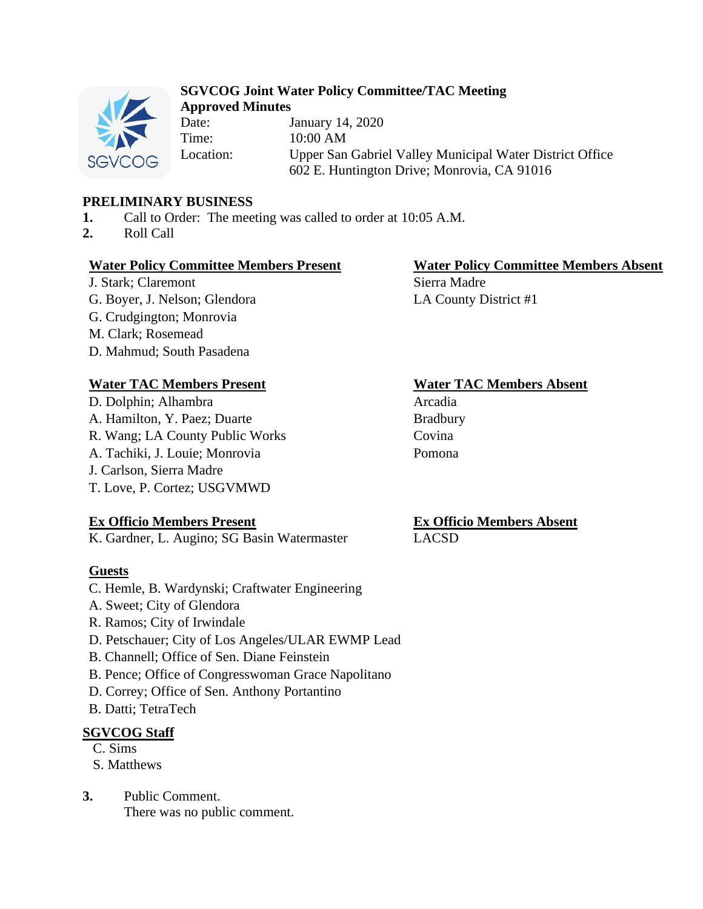

## **SGVCOG Joint Water Policy Committee/TAC Meeting Approved Minutes**

Date: January 14, 2020 Time: 10:00 AM Location: Upper San Gabriel Valley Municipal Water District Office 602 E. Huntington Drive; Monrovia, CA 91016

# **PRELIMINARY BUSINESS**

- **1.** Call to Order: The meeting was called to order at 10:05 A.M.
- **2.** Roll Call

# **Water Policy Committee Members Present Water Policy Committee Members Absent**

J. Stark; Claremont Sierra Madre G. Boyer, J. Nelson; Glendora LA County District #1 G. Crudgington; Monrovia M. Clark; Rosemead D. Mahmud; South Pasadena

# **Water TAC Members Present Water TAC Members Absent**

D. Dolphin; Alhambra Arcadia A. Hamilton, Y. Paez; Duarte Bradbury R. Wang; LA County Public Works Covina A. Tachiki, J. Louie; Monrovia Pomona J. Carlson, Sierra Madre T. Love, P. Cortez; USGVMWD

# **Ex Officio Members Present**

K. Gardner, L. Augino; SG Basin Watermaster

# **Guests**

- C. Hemle, B. Wardynski; Craftwater Engineering
- A. Sweet; City of Glendora
- R. Ramos; City of Irwindale
- D. Petschauer; City of Los Angeles/ULAR EWMP Lead
- B. Channell; Office of Sen. Diane Feinstein
- B. Pence; Office of Congresswoman Grace Napolitano
- D. Correy; Office of Sen. Anthony Portantino
- B. Datti; TetraTech

# **SGVCOG Staff**

- C. Sims
- S. Matthews
- **3.** Public Comment.

There was no public comment.

#### **Ex Officio Members Absent** LACSD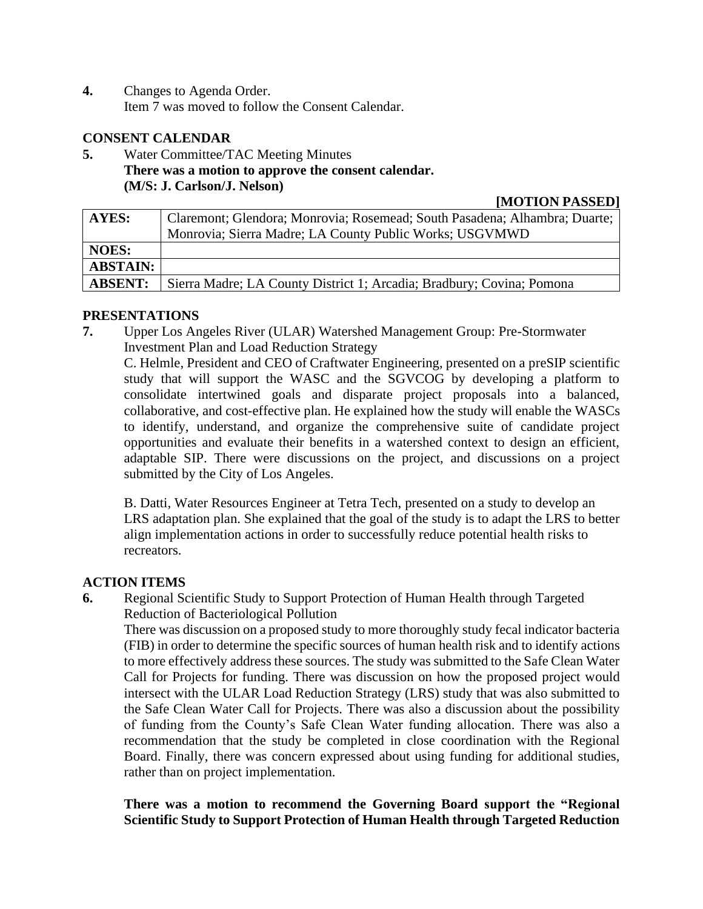**4.** Changes to Agenda Order. Item 7 was moved to follow the Consent Calendar.

### **CONSENT CALENDAR**

**5.** Water Committee/TAC Meeting Minutes **There was a motion to approve the consent calendar. (M/S: J. Carlson/J. Nelson)**

#### **[MOTION PASSED]**

| AYES:           | Claremont; Glendora; Monrovia; Rosemead; South Pasadena; Alhambra; Duarte; |
|-----------------|----------------------------------------------------------------------------|
|                 | Monrovia; Sierra Madre; LA County Public Works; USGVMWD                    |
| <b>NOES:</b>    |                                                                            |
| <b>ABSTAIN:</b> |                                                                            |
| <b>ABSENT:</b>  | Sierra Madre; LA County District 1; Arcadia; Bradbury; Covina; Pomona      |

## **PRESENTATIONS**

**7.** Upper Los Angeles River (ULAR) Watershed Management Group: Pre-Stormwater Investment Plan and Load Reduction Strategy

C. Helmle, President and CEO of Craftwater Engineering, presented on a preSIP scientific study that will support the WASC and the SGVCOG by developing a platform to consolidate intertwined goals and disparate project proposals into a balanced, collaborative, and cost-effective plan. He explained how the study will enable the WASCs to identify, understand, and organize the comprehensive suite of candidate project opportunities and evaluate their benefits in a watershed context to design an efficient, adaptable SIP. There were discussions on the project, and discussions on a project submitted by the City of Los Angeles.

B. Datti, Water Resources Engineer at Tetra Tech, presented on a study to develop an LRS adaptation plan. She explained that the goal of the study is to adapt the LRS to better align implementation actions in order to successfully reduce potential health risks to recreators.

### **ACTION ITEMS**

**6.** Regional Scientific Study to Support Protection of Human Health through Targeted Reduction of Bacteriological Pollution

There was discussion on a proposed study to more thoroughly study fecal indicator bacteria (FIB) in order to determine the specific sources of human health risk and to identify actions to more effectively address these sources. The study was submitted to the Safe Clean Water Call for Projects for funding. There was discussion on how the proposed project would intersect with the ULAR Load Reduction Strategy (LRS) study that was also submitted to the Safe Clean Water Call for Projects. There was also a discussion about the possibility of funding from the County's Safe Clean Water funding allocation. There was also a recommendation that the study be completed in close coordination with the Regional Board. Finally, there was concern expressed about using funding for additional studies, rather than on project implementation.

**There was a motion to recommend the Governing Board support the "Regional Scientific Study to Support Protection of Human Health through Targeted Reduction**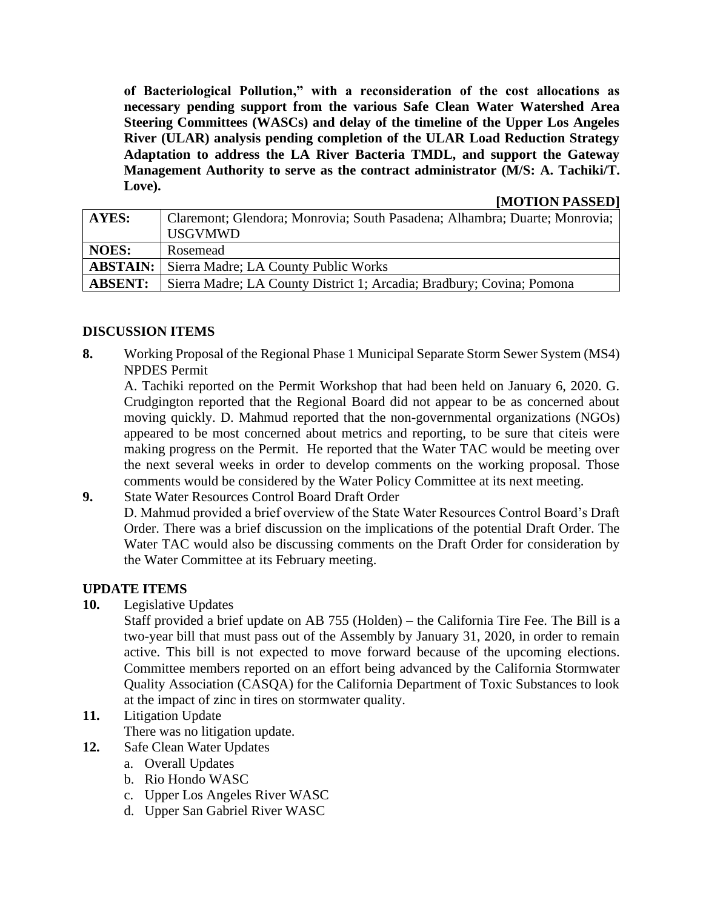**of Bacteriological Pollution," with a reconsideration of the cost allocations as necessary pending support from the various Safe Clean Water Watershed Area Steering Committees (WASCs) and delay of the timeline of the Upper Los Angeles River (ULAR) analysis pending completion of the ULAR Load Reduction Strategy Adaptation to address the LA River Bacteria TMDL, and support the Gateway Management Authority to serve as the contract administrator (M/S: A. Tachiki/T. Love).** 

#### **[MOTION PASSED]**

| AYES:           | Claremont; Glendora; Monrovia; South Pasadena; Alhambra; Duarte; Monrovia; |
|-----------------|----------------------------------------------------------------------------|
|                 | <b>USGVMWD</b>                                                             |
| <b>NOES:</b>    | Rosemead                                                                   |
| <b>ABSTAIN:</b> | Sierra Madre; LA County Public Works                                       |
| <b>ABSENT:</b>  | Sierra Madre; LA County District 1; Arcadia; Bradbury; Covina; Pomona      |

### **DISCUSSION ITEMS**

**8.** Working Proposal of the Regional Phase 1 Municipal Separate Storm Sewer System (MS4) NPDES Permit

A. Tachiki reported on the Permit Workshop that had been held on January 6, 2020. G. Crudgington reported that the Regional Board did not appear to be as concerned about moving quickly. D. Mahmud reported that the non-governmental organizations (NGOs) appeared to be most concerned about metrics and reporting, to be sure that citeis were making progress on the Permit. He reported that the Water TAC would be meeting over the next several weeks in order to develop comments on the working proposal. Those comments would be considered by the Water Policy Committee at its next meeting.

**9.** State Water Resources Control Board Draft Order D. Mahmud provided a brief overview of the State Water Resources Control Board's Draft Order. There was a brief discussion on the implications of the potential Draft Order. The Water TAC would also be discussing comments on the Draft Order for consideration by the Water Committee at its February meeting.

## **UPDATE ITEMS**

**10.** Legislative Updates

Staff provided a brief update on AB 755 (Holden) – the California Tire Fee. The Bill is a two-year bill that must pass out of the Assembly by January 31, 2020, in order to remain active. This bill is not expected to move forward because of the upcoming elections. Committee members reported on an effort being advanced by the California Stormwater Quality Association (CASQA) for the California Department of Toxic Substances to look at the impact of zinc in tires on stormwater quality.

# **11.** Litigation Update

There was no litigation update.

- **12.** Safe Clean Water Updates
	- a. Overall Updates
	- b. Rio Hondo WASC
	- c. Upper Los Angeles River WASC
	- d. Upper San Gabriel River WASC